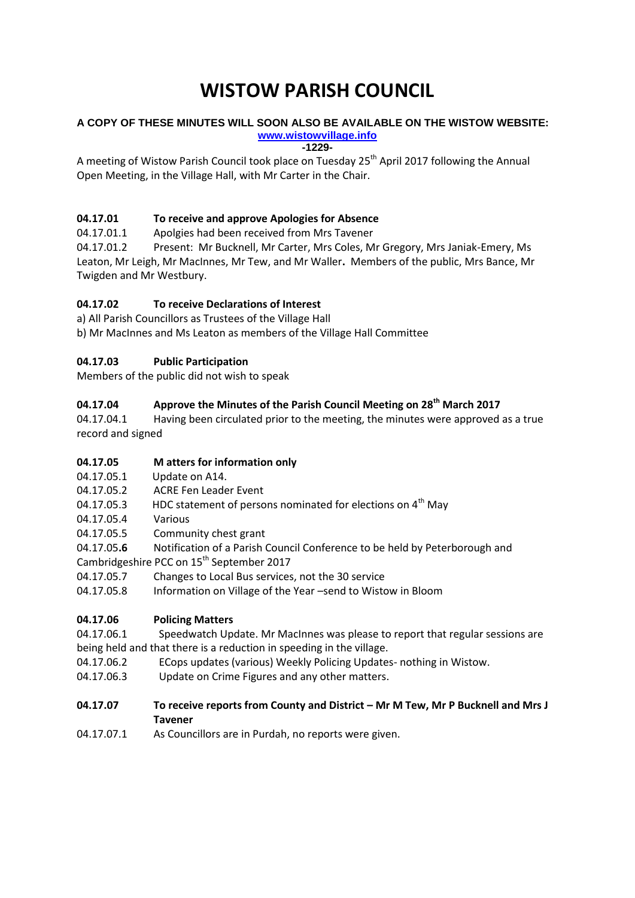# **WISTOW PARISH COUNCIL**

#### **A COPY OF THESE MINUTES WILL SOON ALSO BE AVAILABLE ON THE WISTOW WEBSITE: [www.wistowvillage.info](http://www.wistowvillage.info/)**

**-1229-**

A meeting of Wistow Parish Council took place on Tuesday 25<sup>th</sup> April 2017 following the Annual Open Meeting, in the Village Hall, with Mr Carter in the Chair.

## **04.17.01 To receive and approve Apologies for Absence**

04.17.01.1 Apolgies had been received from Mrs Tavener

04.17.01.2 Present: Mr Bucknell, Mr Carter, Mrs Coles, Mr Gregory, Mrs Janiak-Emery, Ms Leaton, Mr Leigh, Mr MacInnes, Mr Tew, and Mr Waller**.** Members of the public, Mrs Bance, Mr Twigden and Mr Westbury.

## **04.17.02 To receive Declarations of Interest**

a) All Parish Councillors as Trustees of the Village Hall b) Mr MacInnes and Ms Leaton as members of the Village Hall Committee

## **04.17.03 Public Participation**

Members of the public did not wish to speak

## **04.17.04 Approve the Minutes of the Parish Council Meeting on 28th March 2017**

04.17.04.1 Having been circulated prior to the meeting, the minutes were approved as a true record and signed

## **04.17.05 M atters for information only**

- 04.17.05.1 Update on A14.
- 04.17.05.2 ACRE Fen Leader Event
- 04.17.05.3 HDC statement of persons nominated for elections on  $4<sup>th</sup>$  May
- 04.17.05.4 Various
- 04.17.05.5 Community chest grant
- 04.17.05**.6** Notification of a Parish Council Conference to be held by Peterborough and

Cambridgeshire PCC on 15<sup>th</sup> September 2017

- 04.17.05.7 Changes to Local Bus services, not the 30 service
- 04.17.05.8 Information on Village of the Year –send to Wistow in Bloom

## **04.17.06 Policing Matters**

04.17.06.1 Speedwatch Update. Mr MacInnes was please to report that regular sessions are being held and that there is a reduction in speeding in the village.

- 04.17.06.2 ECops updates (various) Weekly Policing Updates- nothing in Wistow.
- 04.17.06.3 Update on Crime Figures and any other matters.

## **04.17.07 To receive reports from County and District – Mr M Tew, Mr P Bucknell and Mrs J Tavener**

04.17.07.1 As Councillors are in Purdah, no reports were given.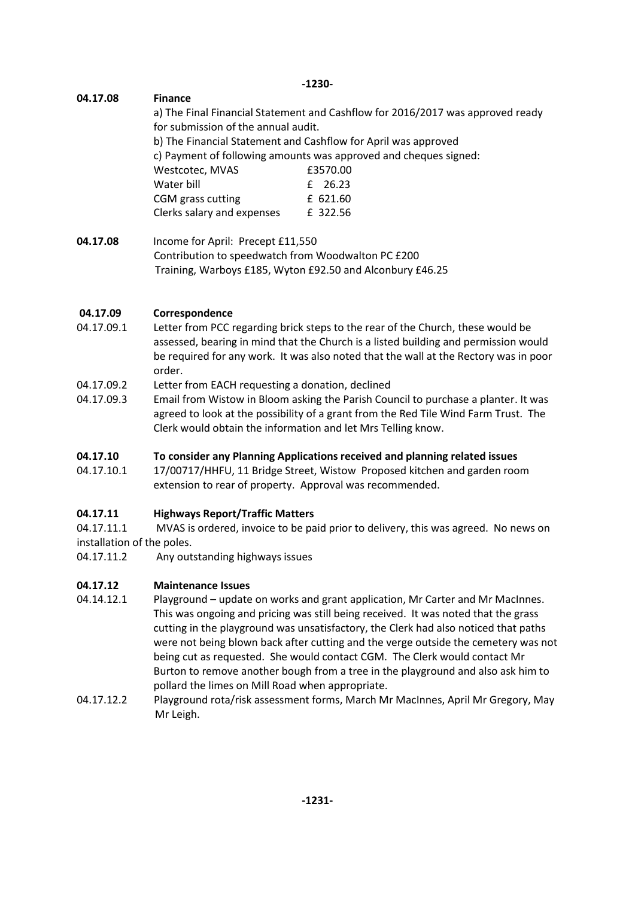**-1230-**

# **04.17.08 Finance**

a) The Final Financial Statement and Cashflow for 2016/2017 was approved ready for submission of the annual audit. b) The Financial Statement and Cashflow for April was approved c) Payment of following amounts was approved and cheques signed: Westcotec, MVAS 63570.00 Water bill **E** 26.23 CGM grass cutting E 621.60 Clerks salary and expenses £ 322.56

**04.17.08** Income for April: Precept £11,550 Contribution to speedwatch from Woodwalton PC £200 Training, Warboys £185, Wyton £92.50 and Alconbury £46.25

# **04.17.09 Correspondence**

- 04.17.09.1 Letter from PCC regarding brick steps to the rear of the Church, these would be assessed, bearing in mind that the Church is a listed building and permission would be required for any work. It was also noted that the wall at the Rectory was in poor order.
- 04.17.09.2 Letter from EACH requesting a donation, declined
- 04.17.09.3 Email from Wistow in Bloom asking the Parish Council to purchase a planter. It was agreed to look at the possibility of a grant from the Red Tile Wind Farm Trust. The Clerk would obtain the information and let Mrs Telling know.

## **04.17.10 To consider any Planning Applications received and planning related issues**

04.17.10.1 17/00717/HHFU, 11 Bridge Street, Wistow Proposed kitchen and garden room extension to rear of property. Approval was recommended.

## **04.17.11 Highways Report/Traffic Matters**

04.17.11.1 MVAS is ordered, invoice to be paid prior to delivery, this was agreed. No news on installation of the poles.

04.17.11.2 Any outstanding highways issues

## **04.17.12 Maintenance Issues**

- 04.14.12.1 Playground update on works and grant application, Mr Carter and Mr MacInnes. This was ongoing and pricing was still being received. It was noted that the grass cutting in the playground was unsatisfactory, the Clerk had also noticed that paths were not being blown back after cutting and the verge outside the cemetery was not being cut as requested. She would contact CGM. The Clerk would contact Mr Burton to remove another bough from a tree in the playground and also ask him to pollard the limes on Mill Road when appropriate.
- 04.17.12.2 Playground rota/risk assessment forms, March Mr MacInnes, April Mr Gregory, May Mr Leigh.